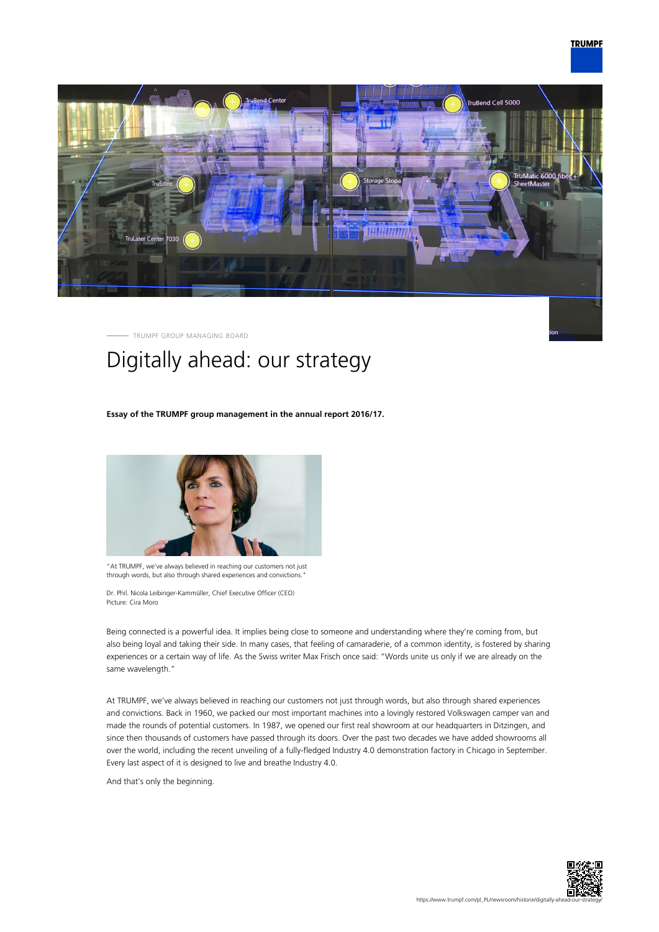



TRUMPF GROUP MANAGING BOARD

# Digitally ahead: our strategy

## **Essay of the TRUMPF group management in the annual report 2016/17.**



"At TRUMPF, we've always believed in reaching our customers not just through words, but also through shared experiences and convictions."

Dr. Phil. Nicola Leibinger-Kammüller, Chief Executive Officer (CEO) Picture: Cira Moro

Being connected is a powerful idea. It implies being close to someone and understanding where they're coming from, but also being loyal and taking their side. In many cases, that feeling of camaraderie, of a common identity, is fostered by sharing experiences or a certain way of life. As the Swiss writer Max Frisch once said: "Words unite us only if we are already on the same wavelength."

At TRUMPF, we've always believed in reaching our customers not just through words, but also through shared experiences and convictions. Back in 1960, we packed our most important machines into a lovingly restored Volkswagen camper van and made the rounds of potential customers. In 1987, we opened our first real showroom at our headquarters in Ditzingen, and since then thousands of customers have passed through its doors. Over the past two decades we have added showrooms all over the world, including the recent unveiling of a fully-fledged Industry 4.0 demonstration factory in Chicago in September. Every last aspect of it is designed to live and breathe Industry 4.0.

And that's only the beginning.

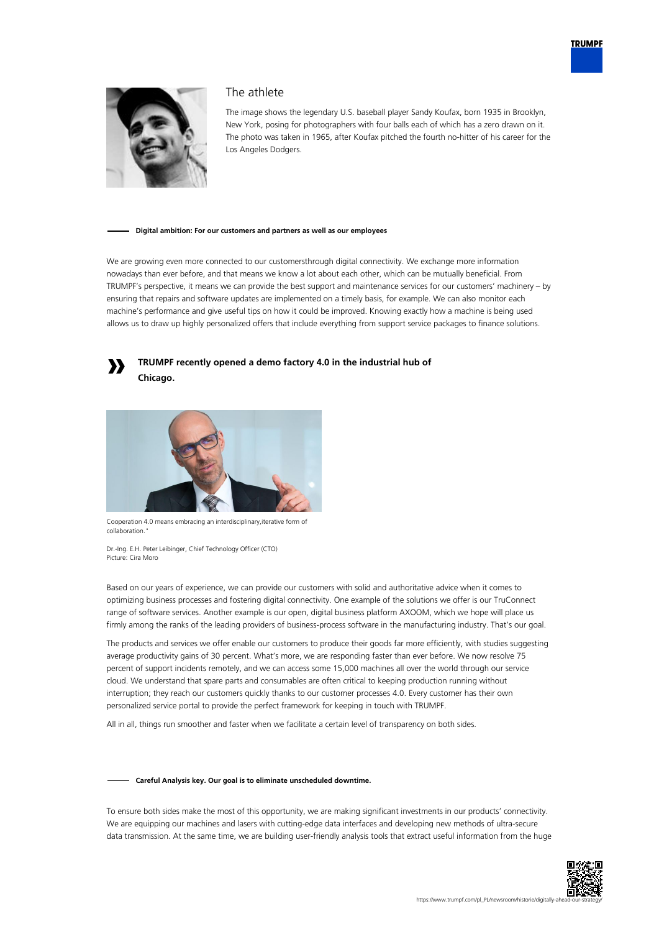



# The athlete

The image shows the legendary U.S. baseball player Sandy Koufax, born 1935 in Brooklyn, New York, posing for photographers with four balls each of which has a zero drawn on it. The photo was taken in 1965, after Koufax pitched the fourth no-hitter of his career for the Los Angeles Dodgers.

#### **Digital ambition: For our customers and partners as well as our employees**

We are growing even more connected to our customersthrough digital connectivity. We exchange more information nowadays than ever before, and that means we know a lot about each other, which can be mutually beneficial. From TRUMPF's perspective, it means we can provide the best support and maintenance services for our customers' machinery – by ensuring that repairs and software updates are implemented on a timely basis, for example. We can also monitor each machine's performance and give useful tips on how it could be improved. Knowing exactly how a machine is being used allows us to draw up highly personalized offers that include everything from support service packages to finance solutions.



# **TRUMPF recently opened a demo factory 4.0 in the industrial hub of Chicago.**



Cooperation 4.0 means embracing an interdisciplinary,iterative form of collaboration."

Dr.-Ing. E.H. Peter Leibinger, Chief Technology Officer (CTO) Picture: Cira Moro

Based on our years of experience, we can provide our customers with solid and authoritative advice when it comes to optimizing business processes and fostering digital connectivity. One example of the solutions we offer is our TruConnect range of software services. Another example is our open, digital business platform AXOOM, which we hope will place us firmly among the ranks of the leading providers of business-process software in the manufacturing industry. That's our goal.

The products and services we offer enable our customers to produce their goods far more efficiently, with studies suggesting average productivity gains of 30 percent. What's more, we are responding faster than ever before. We now resolve 75 percent of support incidents remotely, and we can access some 15,000 machines all over the world through our service cloud. We understand that spare parts and consumables are often critical to keeping production running without interruption; they reach our customers quickly thanks to our customer processes 4.0. Every customer has their own personalized service portal to provide the perfect framework for keeping in touch with TRUMPF.

All in all, things run smoother and faster when we facilitate a certain level of transparency on both sides.

## **Careful Analysis key. Our goal is to eliminate unscheduled downtime.**

To ensure both sides make the most of this opportunity, we are making significant investments in our products' connectivity. We are equipping our machines and lasers with cutting-edge data interfaces and developing new methods of ultra-secure data transmission. At the same time, we are building user-friendly analysis tools that extract useful information from the huge

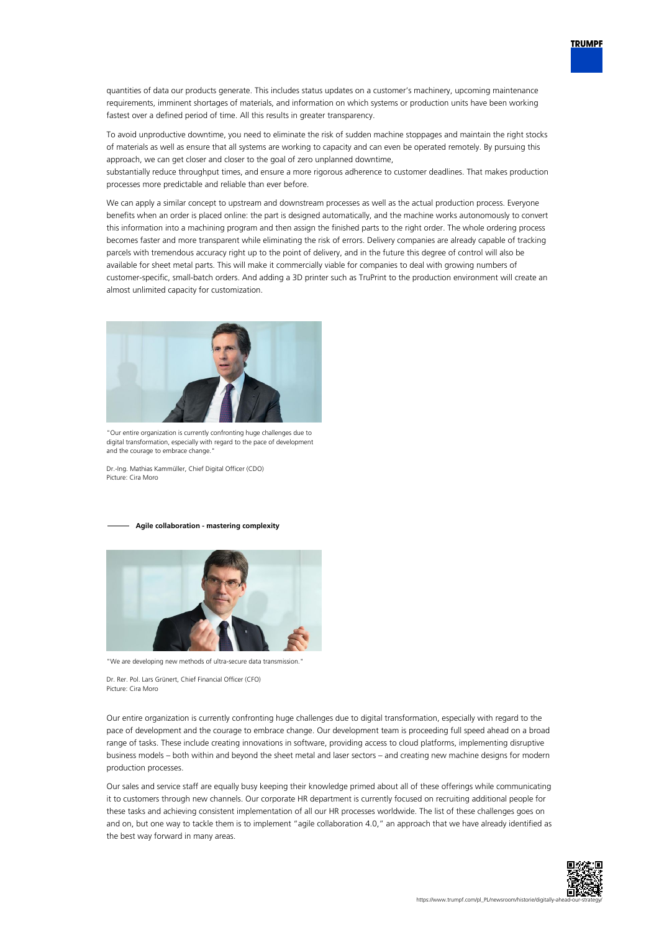

quantities of data our products generate. This includes status updates on a customer's machinery, upcoming maintenance requirements, imminent shortages of materials, and information on which systems or production units have been working fastest over a defined period of time. All this results in greater transparency.

To avoid unproductive downtime, you need to eliminate the risk of sudden machine stoppages and maintain the right stocks of materials as well as ensure that all systems are working to capacity and can even be operated remotely. By pursuing this approach, we can get closer and closer to the goal of zero unplanned downtime,

substantially reduce throughput times, and ensure a more rigorous adherence to customer deadlines. That makes production processes more predictable and reliable than ever before.

We can apply a similar concept to upstream and downstream processes as well as the actual production process. Everyone benefits when an order is placed online: the part is designed automatically, and the machine works autonomously to convert this information into a machining program and then assign the finished parts to the right order. The whole ordering process becomes faster and more transparent while eliminating the risk of errors. Delivery companies are already capable of tracking parcels with tremendous accuracy right up to the point of delivery, and in the future this degree of control will also be available for sheet metal parts. This will make it commercially viable for companies to deal with growing numbers of customer-specific, small-batch orders. And adding a 3D printer such as TruPrint to the production environment will create an almost unlimited capacity for customization.



"Our entire organization is currently confronting huge challenges due to digital transformation, especially with regard to the pace of development and the courage to embrace change.

Dr.-Ing. Mathias Kammüller, Chief Digital Officer (CDO) Picture: Cira Moro

#### **Agile collaboration - mastering complexity**



"We are developing new methods of ultra-secure data transmission."

Dr. Rer. Pol. Lars Grünert, Chief Financial Officer (CFO) Picture: Cira Moro

Our entire organization is currently confronting huge challenges due to digital transformation, especially with regard to the pace of development and the courage to embrace change. Our development team is proceeding full speed ahead on a broad range of tasks. These include creating innovations in software, providing access to cloud platforms, implementing disruptive business models – both within and beyond the sheet metal and laser sectors – and creating new machine designs for modern production processes.

Our sales and service staff are equally busy keeping their knowledge primed about all of these offerings while communicating it to customers through new channels. Our corporate HR department is currently focused on recruiting additional people for these tasks and achieving consistent implementation of all our HR processes worldwide. The list of these challenges goes on and on, but one way to tackle them is to implement "agile collaboration 4.0," an approach that we have already identified as the best way forward in many areas.

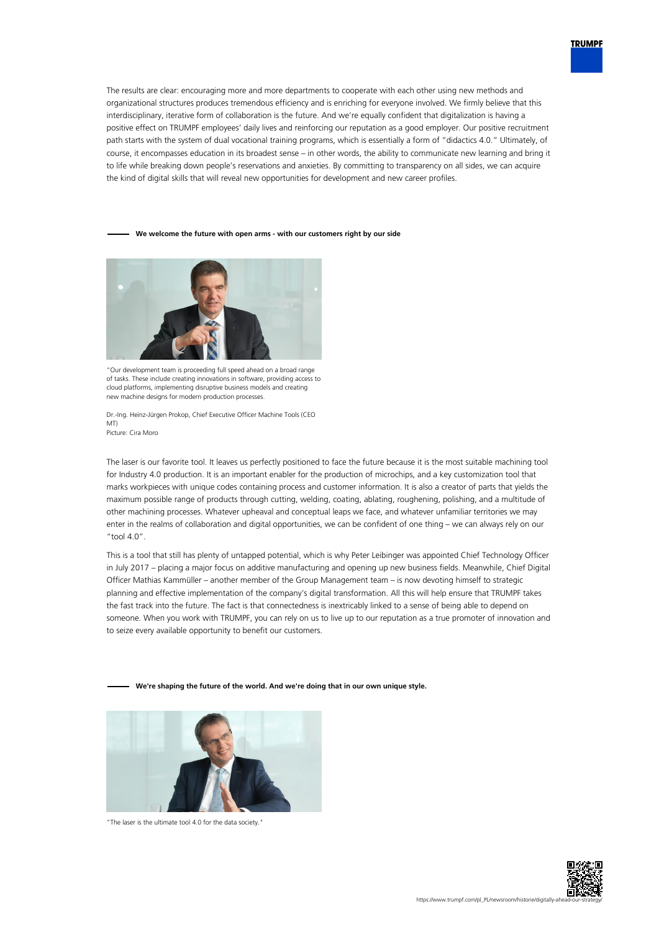

The results are clear: encouraging more and more departments to cooperate with each other using new methods and organizational structures produces tremendous efficiency and is enriching for everyone involved. We firmly believe that this interdisciplinary, iterative form of collaboration is the future. And we're equally confident that digitalization is having a positive effect on TRUMPF employees' daily lives and reinforcing our reputation as a good employer. Our positive recruitment path starts with the system of dual vocational training programs, which is essentially a form of "didactics 4.0." Ultimately, of course, it encompasses education in its broadest sense – in other words, the ability to communicate new learning and bring it to life while breaking down people's reservations and anxieties. By committing to transparency on all sides, we can acquire the kind of digital skills that will reveal new opportunities for development and new career profiles.

## **We welcome the future with open arms - with our customers right by our side**



"Our development team is proceeding full speed ahead on a broad range of tasks. These include creating innovations in software, providing access to cloud platforms, implementing disruptive business models and creating new machine designs for modern production processes.

Dr.-Ing. Heinz-Jürgen Prokop, Chief Executive Officer Machine Tools (CEO MT) Picture: Cira Moro

The laser is our favorite tool. It leaves us perfectly positioned to face the future because it is the most suitable machining tool for Industry 4.0 production. It is an important enabler for the production of microchips, and a key customization tool that marks workpieces with unique codes containing process and customer information. It is also a creator of parts that yields the maximum possible range of products through cutting, welding, coating, ablating, roughening, polishing, and a multitude of other machining processes. Whatever upheaval and conceptual leaps we face, and whatever unfamiliar territories we may enter in the realms of collaboration and digital opportunities, we can be confident of one thing – we can always rely on our "tool  $4.0"$ .

This is a tool that still has plenty of untapped potential, which is why Peter Leibinger was appointed Chief Technology Officer in July 2017 – placing a major focus on additive manufacturing and opening up new business fields. Meanwhile, Chief Digital Officer Mathias Kammüller – another member of the Group Management team – is now devoting himself to strategic planning and effective implementation of the company's digital transformation. All this will help ensure that TRUMPF takes the fast track into the future. The fact is that connectedness is inextricably linked to a sense of being able to depend on someone. When you work with TRUMPF, you can rely on us to live up to our reputation as a true promoter of innovation and to seize every available opportunity to benefit our customers.

**We're shaping the future of the world. And we're doing that in our own unique style.**



"The laser is the ultimate tool 4.0 for the data society."